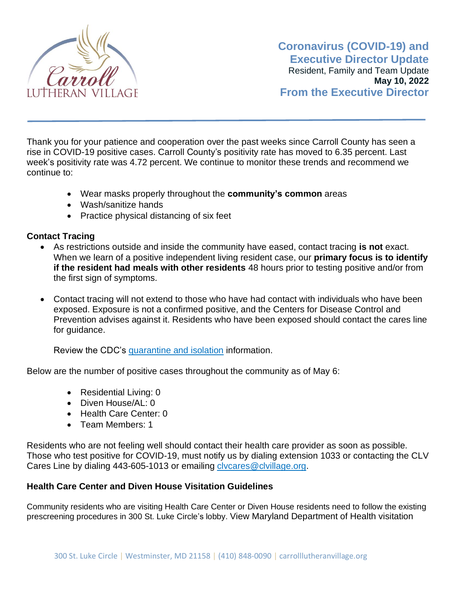

Thank you for your patience and cooperation over the past weeks since Carroll County has seen a rise in COVID-19 positive cases. Carroll County's positivity rate has moved to 6.35 percent. Last week's positivity rate was 4.72 percent. We continue to monitor these trends and recommend we continue to:

- Wear masks properly throughout the **community's common** areas
- Wash/sanitize hands
- Practice physical distancing of six feet

## **Contact Tracing**

- As restrictions outside and inside the community have eased, contact tracing **is not** exact. When we learn of a positive independent living resident case, our **primary focus is to identify if the resident had meals with other residents** 48 hours prior to testing positive and/or from the first sign of symptoms.
- Contact tracing will not extend to those who have had contact with individuals who have been exposed. Exposure is not a confirmed positive, and the Centers for Disease Control and Prevention advises against it. Residents who have been exposed should contact the cares line for guidance.

Review the CDC's [quarantine and isolation](https://www.cdc.gov/coronavirus/2019-ncov/your-health/quarantine-isolation.html) information.

Below are the number of positive cases throughout the community as of May 6:

- Residential Living: 0
- Diven House/AL: 0
- Health Care Center: 0
- Team Members: 1

Residents who are not feeling well should contact their health care provider as soon as possible. Those who test positive for COVID-19, must notify us by dialing extension 1033 or contacting the CLV Cares Line by dialing 443-605-1013 or emailing clycares@clvillage.org.

## **Health Care Center and Diven House Visitation Guidelines**

Community residents who are visiting Health Care Center or Diven House residents need to follow the existing prescreening procedures in 300 St. Luke Circle's lobby. View Maryland Department of Health visitation